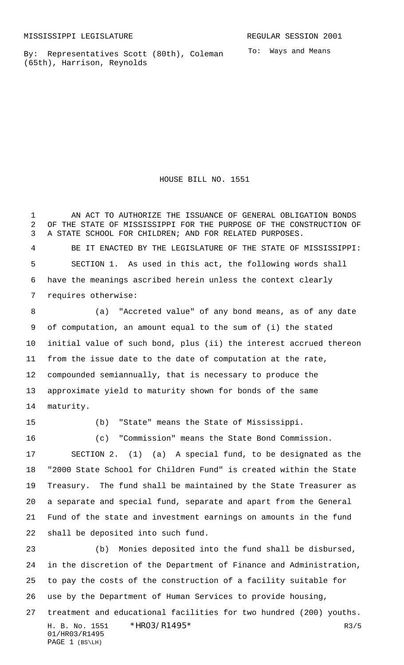By: Representatives Scott (80th), Coleman (65th), Harrison, Reynolds

To: Ways and Means

HOUSE BILL NO. 1551

 AN ACT TO AUTHORIZE THE ISSUANCE OF GENERAL OBLIGATION BONDS OF THE STATE OF MISSISSIPPI FOR THE PURPOSE OF THE CONSTRUCTION OF A STATE SCHOOL FOR CHILDREN; AND FOR RELATED PURPOSES. BE IT ENACTED BY THE LEGISLATURE OF THE STATE OF MISSISSIPPI: SECTION 1. As used in this act, the following words shall have the meanings ascribed herein unless the context clearly requires otherwise:

 (a) "Accreted value" of any bond means, as of any date of computation, an amount equal to the sum of (i) the stated initial value of such bond, plus (ii) the interest accrued thereon from the issue date to the date of computation at the rate, compounded semiannually, that is necessary to produce the approximate yield to maturity shown for bonds of the same maturity.

PAGE 1 (BS\LH)

(b) "State" means the State of Mississippi.

 (c) "Commission" means the State Bond Commission. SECTION 2. (1) (a) A special fund, to be designated as the "2000 State School for Children Fund" is created within the State Treasury. The fund shall be maintained by the State Treasurer as a separate and special fund, separate and apart from the General Fund of the state and investment earnings on amounts in the fund shall be deposited into such fund.

H. B. No. 1551 \*HRO3/R1495\* R3/5 01/HR03/R1495 (b) Monies deposited into the fund shall be disbursed, in the discretion of the Department of Finance and Administration, to pay the costs of the construction of a facility suitable for use by the Department of Human Services to provide housing, treatment and educational facilities for two hundred (200) youths.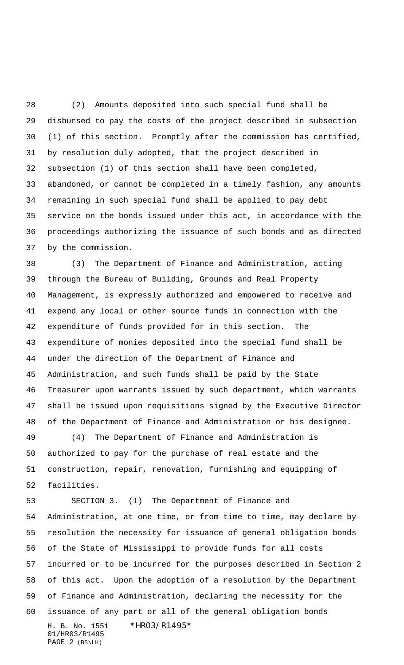(2) Amounts deposited into such special fund shall be disbursed to pay the costs of the project described in subsection (1) of this section. Promptly after the commission has certified, by resolution duly adopted, that the project described in subsection (1) of this section shall have been completed, abandoned, or cannot be completed in a timely fashion, any amounts remaining in such special fund shall be applied to pay debt service on the bonds issued under this act, in accordance with the proceedings authorizing the issuance of such bonds and as directed by the commission.

 (3) The Department of Finance and Administration, acting through the Bureau of Building, Grounds and Real Property Management, is expressly authorized and empowered to receive and expend any local or other source funds in connection with the expenditure of funds provided for in this section. The expenditure of monies deposited into the special fund shall be under the direction of the Department of Finance and Administration, and such funds shall be paid by the State Treasurer upon warrants issued by such department, which warrants shall be issued upon requisitions signed by the Executive Director of the Department of Finance and Administration or his designee.

 (4) The Department of Finance and Administration is authorized to pay for the purchase of real estate and the construction, repair, renovation, furnishing and equipping of facilities.

H. B. No. 1551 \*HR03/R1495\* 01/HR03/R1495 PAGE 2 (BS\LH) SECTION 3. (1) The Department of Finance and Administration, at one time, or from time to time, may declare by resolution the necessity for issuance of general obligation bonds of the State of Mississippi to provide funds for all costs incurred or to be incurred for the purposes described in Section 2 of this act. Upon the adoption of a resolution by the Department of Finance and Administration, declaring the necessity for the issuance of any part or all of the general obligation bonds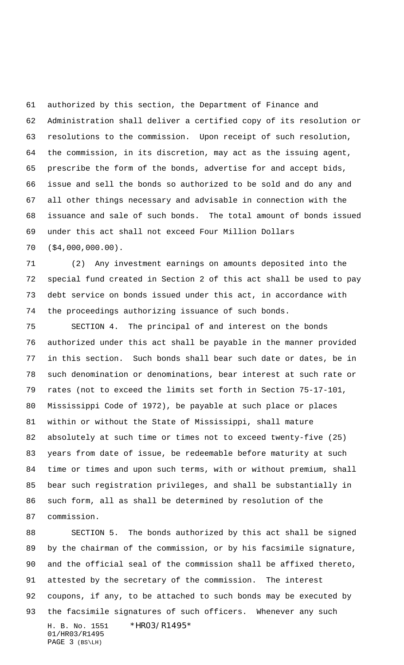authorized by this section, the Department of Finance and Administration shall deliver a certified copy of its resolution or resolutions to the commission. Upon receipt of such resolution, the commission, in its discretion, may act as the issuing agent, prescribe the form of the bonds, advertise for and accept bids, issue and sell the bonds so authorized to be sold and do any and all other things necessary and advisable in connection with the issuance and sale of such bonds. The total amount of bonds issued under this act shall not exceed Four Million Dollars (\$4,000,000.00).

 (2) Any investment earnings on amounts deposited into the special fund created in Section 2 of this act shall be used to pay debt service on bonds issued under this act, in accordance with the proceedings authorizing issuance of such bonds.

 SECTION 4. The principal of and interest on the bonds authorized under this act shall be payable in the manner provided in this section. Such bonds shall bear such date or dates, be in such denomination or denominations, bear interest at such rate or rates (not to exceed the limits set forth in Section 75-17-101, Mississippi Code of 1972), be payable at such place or places within or without the State of Mississippi, shall mature absolutely at such time or times not to exceed twenty-five (25) years from date of issue, be redeemable before maturity at such time or times and upon such terms, with or without premium, shall bear such registration privileges, and shall be substantially in such form, all as shall be determined by resolution of the commission.

H. B. No. 1551 \*HR03/R1495\* 01/HR03/R1495 PAGE 3 (BS\LH) SECTION 5. The bonds authorized by this act shall be signed by the chairman of the commission, or by his facsimile signature, and the official seal of the commission shall be affixed thereto, attested by the secretary of the commission. The interest coupons, if any, to be attached to such bonds may be executed by the facsimile signatures of such officers. Whenever any such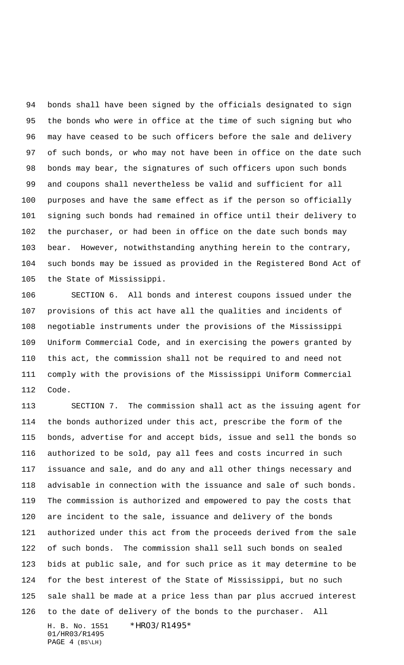bonds shall have been signed by the officials designated to sign the bonds who were in office at the time of such signing but who may have ceased to be such officers before the sale and delivery of such bonds, or who may not have been in office on the date such bonds may bear, the signatures of such officers upon such bonds and coupons shall nevertheless be valid and sufficient for all purposes and have the same effect as if the person so officially signing such bonds had remained in office until their delivery to the purchaser, or had been in office on the date such bonds may bear. However, notwithstanding anything herein to the contrary, such bonds may be issued as provided in the Registered Bond Act of the State of Mississippi.

 SECTION 6. All bonds and interest coupons issued under the provisions of this act have all the qualities and incidents of negotiable instruments under the provisions of the Mississippi Uniform Commercial Code, and in exercising the powers granted by this act, the commission shall not be required to and need not comply with the provisions of the Mississippi Uniform Commercial Code.

H. B. No. 1551 \*HR03/R1495\* SECTION 7. The commission shall act as the issuing agent for the bonds authorized under this act, prescribe the form of the bonds, advertise for and accept bids, issue and sell the bonds so authorized to be sold, pay all fees and costs incurred in such issuance and sale, and do any and all other things necessary and advisable in connection with the issuance and sale of such bonds. The commission is authorized and empowered to pay the costs that are incident to the sale, issuance and delivery of the bonds authorized under this act from the proceeds derived from the sale of such bonds. The commission shall sell such bonds on sealed bids at public sale, and for such price as it may determine to be for the best interest of the State of Mississippi, but no such sale shall be made at a price less than par plus accrued interest to the date of delivery of the bonds to the purchaser. All

01/HR03/R1495 PAGE 4 (BS\LH)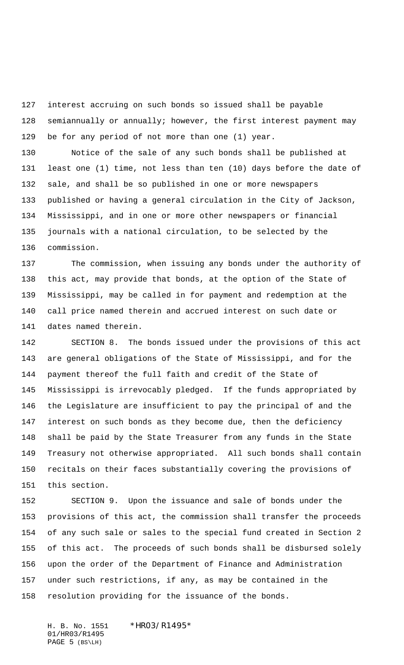interest accruing on such bonds so issued shall be payable semiannually or annually; however, the first interest payment may be for any period of not more than one (1) year.

 Notice of the sale of any such bonds shall be published at least one (1) time, not less than ten (10) days before the date of sale, and shall be so published in one or more newspapers published or having a general circulation in the City of Jackson, Mississippi, and in one or more other newspapers or financial journals with a national circulation, to be selected by the commission.

 The commission, when issuing any bonds under the authority of this act, may provide that bonds, at the option of the State of Mississippi, may be called in for payment and redemption at the call price named therein and accrued interest on such date or dates named therein.

 SECTION 8. The bonds issued under the provisions of this act are general obligations of the State of Mississippi, and for the payment thereof the full faith and credit of the State of Mississippi is irrevocably pledged. If the funds appropriated by the Legislature are insufficient to pay the principal of and the interest on such bonds as they become due, then the deficiency shall be paid by the State Treasurer from any funds in the State Treasury not otherwise appropriated. All such bonds shall contain recitals on their faces substantially covering the provisions of this section.

 SECTION 9. Upon the issuance and sale of bonds under the provisions of this act, the commission shall transfer the proceeds of any such sale or sales to the special fund created in Section 2 of this act. The proceeds of such bonds shall be disbursed solely upon the order of the Department of Finance and Administration under such restrictions, if any, as may be contained in the resolution providing for the issuance of the bonds.

H. B. No. 1551 \*HRO3/R1495\* 01/HR03/R1495 PAGE 5 (BS\LH)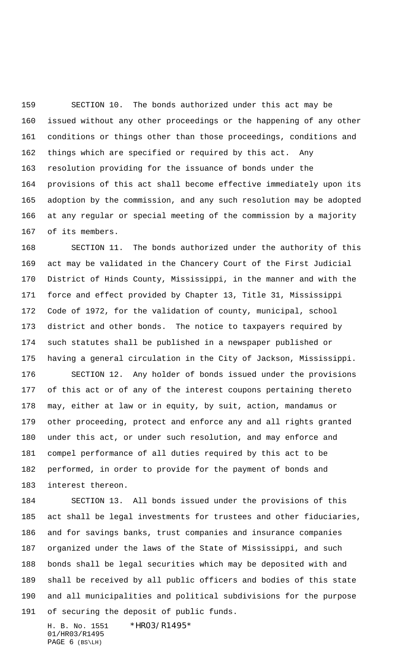SECTION 10. The bonds authorized under this act may be issued without any other proceedings or the happening of any other conditions or things other than those proceedings, conditions and things which are specified or required by this act. Any resolution providing for the issuance of bonds under the provisions of this act shall become effective immediately upon its adoption by the commission, and any such resolution may be adopted at any regular or special meeting of the commission by a majority of its members.

 SECTION 11. The bonds authorized under the authority of this act may be validated in the Chancery Court of the First Judicial District of Hinds County, Mississippi, in the manner and with the force and effect provided by Chapter 13, Title 31, Mississippi Code of 1972, for the validation of county, municipal, school district and other bonds. The notice to taxpayers required by such statutes shall be published in a newspaper published or having a general circulation in the City of Jackson, Mississippi.

 SECTION 12. Any holder of bonds issued under the provisions of this act or of any of the interest coupons pertaining thereto may, either at law or in equity, by suit, action, mandamus or other proceeding, protect and enforce any and all rights granted under this act, or under such resolution, and may enforce and compel performance of all duties required by this act to be performed, in order to provide for the payment of bonds and interest thereon.

 SECTION 13. All bonds issued under the provisions of this act shall be legal investments for trustees and other fiduciaries, and for savings banks, trust companies and insurance companies organized under the laws of the State of Mississippi, and such bonds shall be legal securities which may be deposited with and shall be received by all public officers and bodies of this state and all municipalities and political subdivisions for the purpose of securing the deposit of public funds.

H. B. No. 1551 \*HR03/R1495\* 01/HR03/R1495 PAGE 6 (BS\LH)